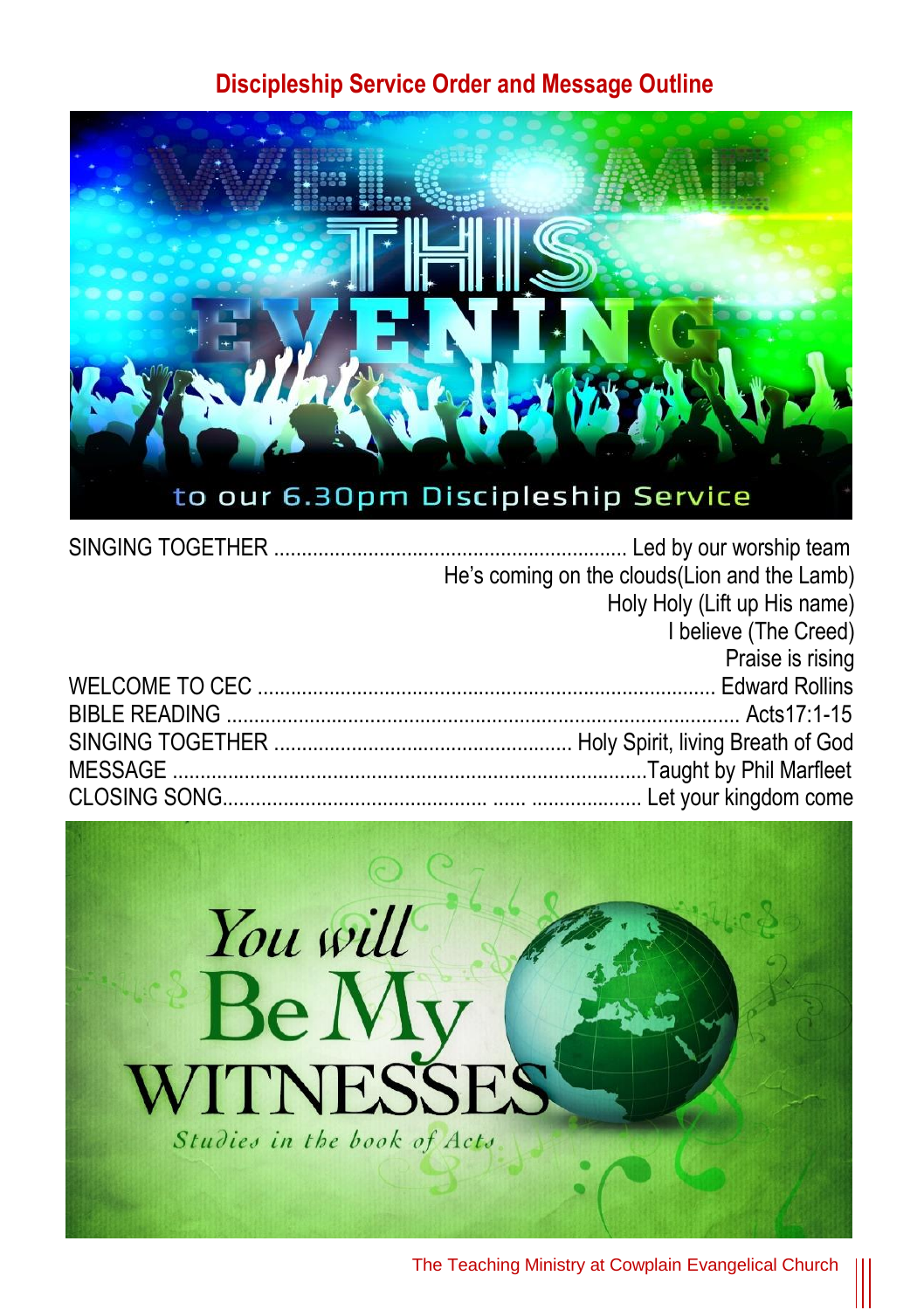## **Discipleship Service Order and Message Outline**



| He's coming on the clouds (Lion and the Lamb) |
|-----------------------------------------------|
| Holy Holy (Lift up His name)                  |
| I believe (The Creed)                         |
| Praise is rising                              |
|                                               |
|                                               |
|                                               |
|                                               |
|                                               |

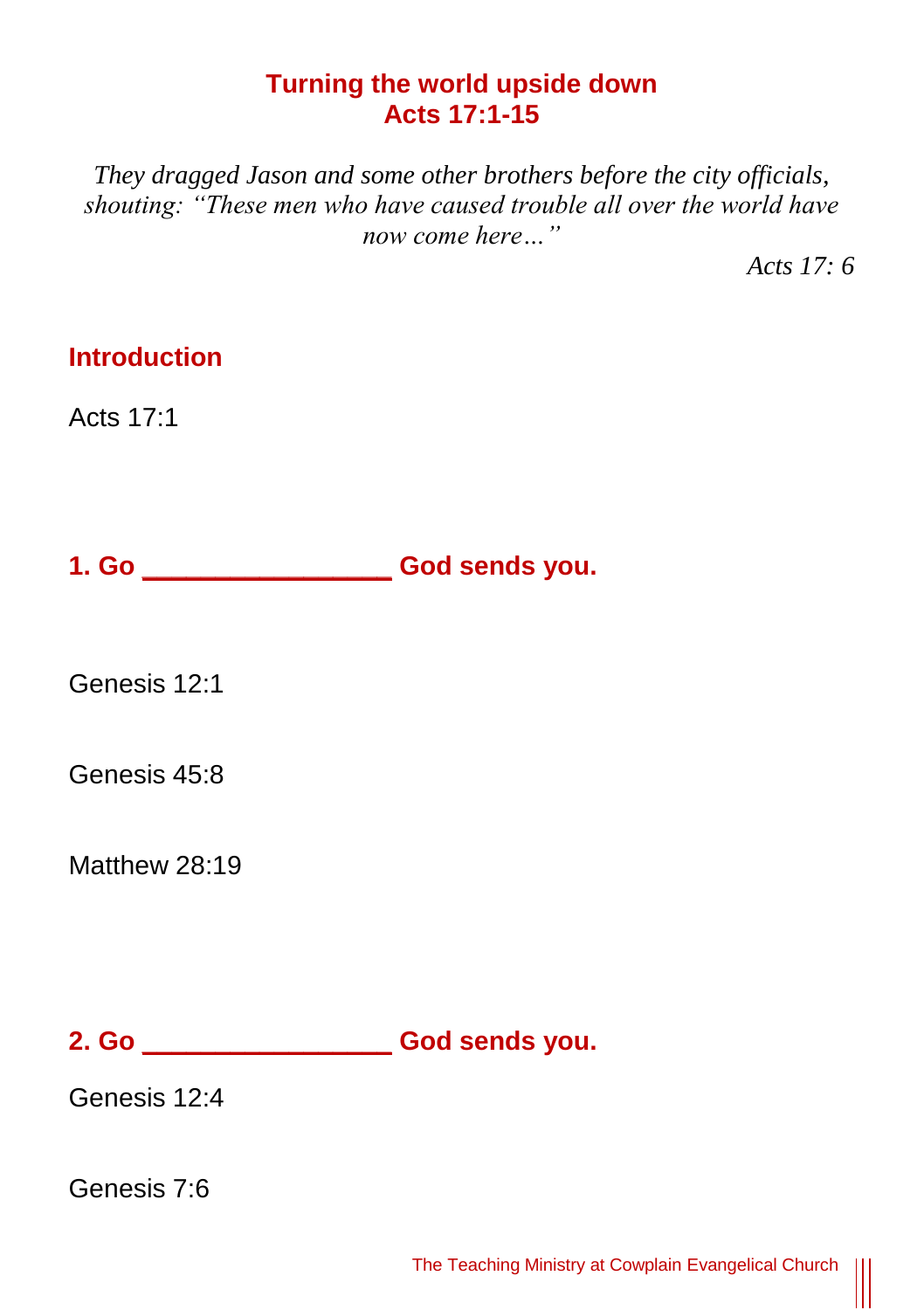## **Turning the world upside down Acts 17:1-15**

*They dragged Jason and some other brothers before the city officials, shouting: "These men who have caused trouble all over the world have now come here…"* 

*Acts 17: 6*

| <b>Introduction</b>                        |  |
|--------------------------------------------|--|
| Acts 17:1                                  |  |
|                                            |  |
| 1. Go ______________________God sends you. |  |
|                                            |  |
| Genesis 12:1                               |  |
| Genesis 45:8                               |  |
| Matthew 28:19                              |  |
|                                            |  |
| 2. Go _____________________God sends you.  |  |
| Genesis 12:4                               |  |
| Genesis 7:6                                |  |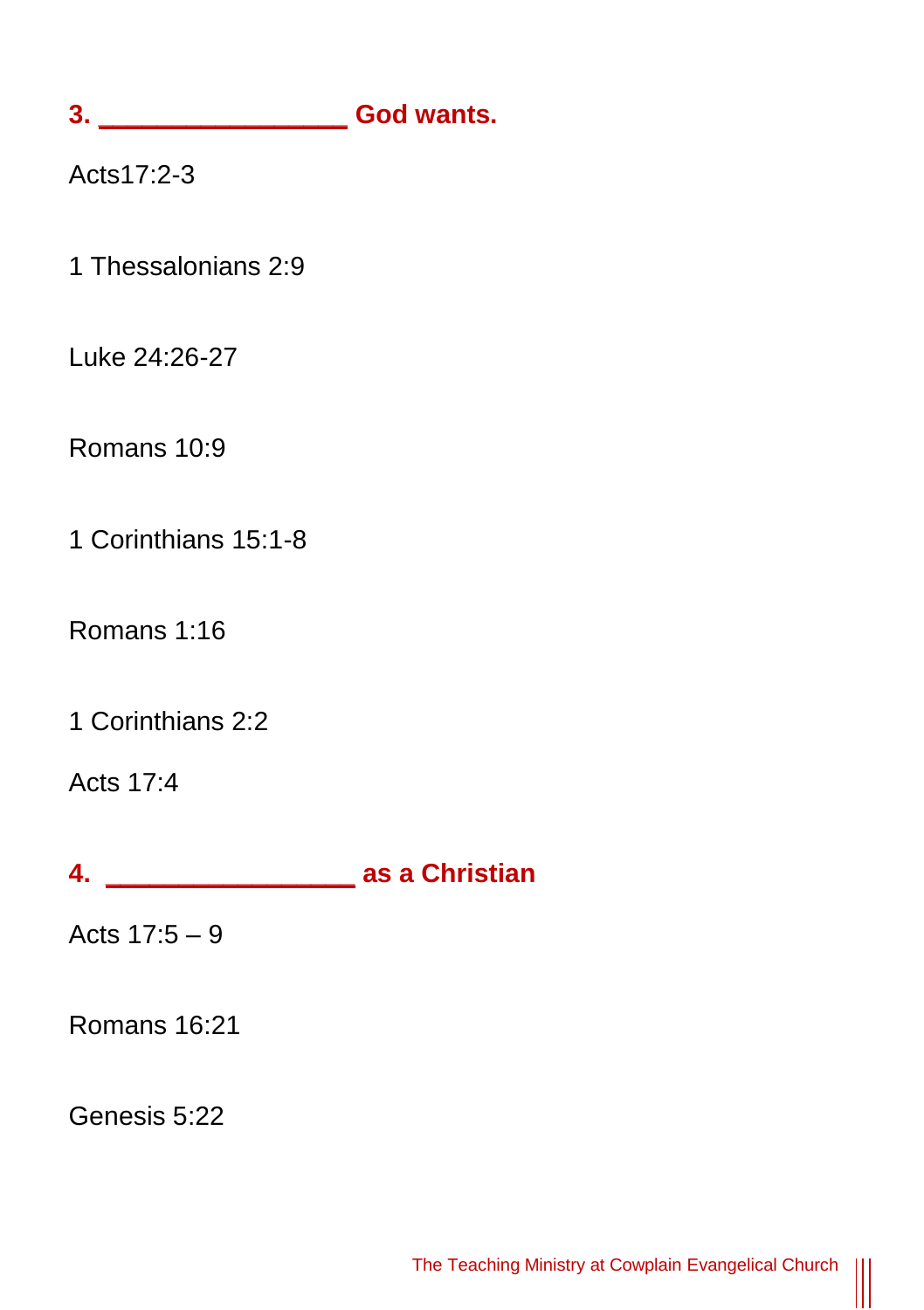**3. \_\_\_\_\_\_\_\_\_\_\_\_\_\_\_\_\_ God wants.**

Acts17:2-3

1 Thessalonians 2:9

Luke 24:26-27

Romans 10:9

1 Corinthians 15:1-8

Romans 1:16

1 Corinthians 2:2

Acts 17:4

**4. \_\_\_\_\_\_\_\_\_\_\_\_\_\_\_\_\_ as a Christian**

Acts 17:5 – 9

Romans 16:21

Genesis 5:22

 $\begin{matrix} \vspace{0.1cm} \vspace{0.1cm} \vspace{0.1cm} \vspace{0.1cm} \vspace{0.1cm} \vspace{0.1cm} \vspace{0.1cm} \vspace{0.1cm} \vspace{0.1cm} \vspace{0.1cm} \vspace{0.1cm} \vspace{0.1cm} \vspace{0.1cm} \vspace{0.1cm} \vspace{0.1cm} \vspace{0.1cm} \vspace{0.1cm} \vspace{0.1cm} \vspace{0.1cm} \vspace{0.1cm} \vspace{0.1cm} \vspace{0.1cm} \vspace{0.1cm} \vspace{0.1cm$